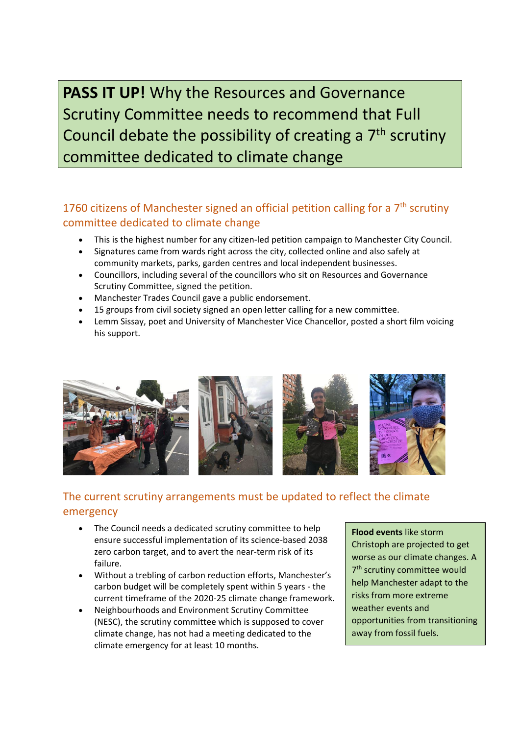**PASS IT UP!** Why the Resources and Governance Scrutiny Committee needs to recommend that Full Council debate the possibility of creating a 7<sup>th</sup> scrutiny committee dedicated to climate change

# 1760 citizens of Manchester signed an official petition calling for a  $7<sup>th</sup>$  scrutiny committee dedicated to climate change

- This is the highest number for any citizen-led petition campaign to Manchester City Council.
- Signatures came from wards right across the city, collected online and also safely at community markets, parks, garden centres and local independent businesses.
- Councillors, including several of the councillors who sit on Resources and Governance Scrutiny Committee, signed the petition.
- Manchester Trades Council gave a public endorsement.
- 15 groups from civil society signed an open letter calling for a new committee.
- Lemm Sissay, poet and University of Manchester Vice Chancellor, posted a short film voicing his support.



## The current scrutiny arrangements must be updated to reflect the climate emergency

- The Council needs a dedicated scrutiny committee to help ensure successful implementation of its science-based 2038 zero carbon target, and to avert the near-term risk of its failure.
- Without a trebling of carbon reduction efforts, Manchester's carbon budget will be completely spent within 5 years - the current timeframe of the 2020-25 climate change framework.
- Neighbourhoods and Environment Scrutiny Committee (NESC), the scrutiny committee which is supposed to cover climate change, has not had a meeting dedicated to the climate emergency for at least 10 months.

**Flood events** like storm Christoph are projected to get worse as our climate changes. A 7 th scrutiny committee would help Manchester adapt to the risks from more extreme weather events and opportunities from transitioning away from fossil fuels.